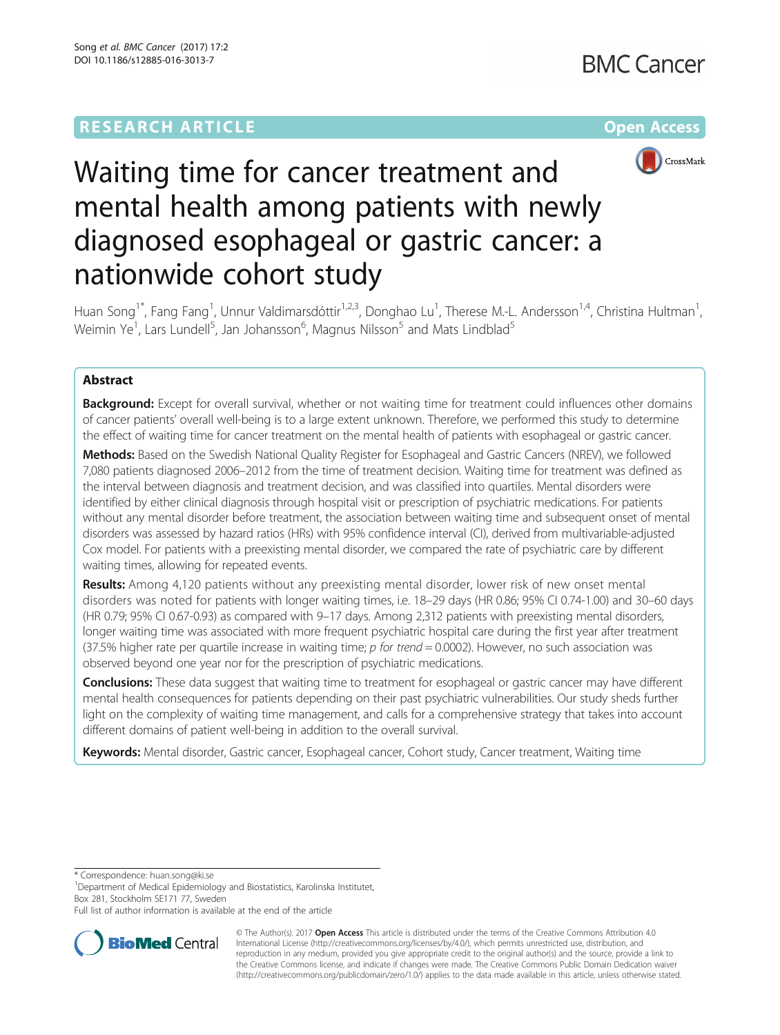# **RESEARCH ARTICLE Example 2014 12:30 The Community Community Community Community Community Community Community**



# Waiting time for cancer treatment and mental health among patients with newly diagnosed esophageal or gastric cancer: a nationwide cohort study

Huan Song<sup>1\*</sup>, Fang Fang<sup>1</sup>, Unnur Valdimarsdóttir<sup>1,2,3</sup>, Donghao Lu<sup>1</sup>, Therese M.-L. Andersson<sup>1,4</sup>, Christina Hultman<sup>1</sup> , Weimin Ye<sup>1</sup>, Lars Lundell<sup>5</sup>, Jan Johansson<sup>6</sup>, Magnus Nilsson<sup>5</sup> and Mats Lindblad<sup>5</sup>

# Abstract

**Background:** Except for overall survival, whether or not waiting time for treatment could influences other domains of cancer patients' overall well-being is to a large extent unknown. Therefore, we performed this study to determine the effect of waiting time for cancer treatment on the mental health of patients with esophageal or gastric cancer.

Methods: Based on the Swedish National Quality Register for Esophageal and Gastric Cancers (NREV), we followed 7,080 patients diagnosed 2006–2012 from the time of treatment decision. Waiting time for treatment was defined as the interval between diagnosis and treatment decision, and was classified into quartiles. Mental disorders were identified by either clinical diagnosis through hospital visit or prescription of psychiatric medications. For patients without any mental disorder before treatment, the association between waiting time and subsequent onset of mental disorders was assessed by hazard ratios (HRs) with 95% confidence interval (CI), derived from multivariable-adjusted Cox model. For patients with a preexisting mental disorder, we compared the rate of psychiatric care by different waiting times, allowing for repeated events.

Results: Among 4,120 patients without any preexisting mental disorder, lower risk of new onset mental disorders was noted for patients with longer waiting times, i.e. 18–29 days (HR 0.86; 95% CI 0.74-1.00) and 30–60 days (HR 0.79; 95% CI 0.67-0.93) as compared with 9–17 days. Among 2,312 patients with preexisting mental disorders, longer waiting time was associated with more frequent psychiatric hospital care during the first year after treatment (37.5% higher rate per quartile increase in waiting time;  $p$  for trend = 0.0002). However, no such association was observed beyond one year nor for the prescription of psychiatric medications.

**Conclusions:** These data suggest that waiting time to treatment for esophageal or gastric cancer may have different mental health consequences for patients depending on their past psychiatric vulnerabilities. Our study sheds further light on the complexity of waiting time management, and calls for a comprehensive strategy that takes into account different domains of patient well-being in addition to the overall survival.

Keywords: Mental disorder, Gastric cancer, Esophageal cancer, Cohort study, Cancer treatment, Waiting time

\* Correspondence: [huan.song@ki.se](mailto:huan.song@ki.se) <sup>1</sup>

<sup>1</sup>Department of Medical Epidemiology and Biostatistics, Karolinska Institutet, Box 281, Stockholm SE171 77, Sweden

Full list of author information is available at the end of the article



© The Author(s). 2017 **Open Access** This article is distributed under the terms of the Creative Commons Attribution 4.0 International License [\(http://creativecommons.org/licenses/by/4.0/](http://creativecommons.org/licenses/by/4.0/)), which permits unrestricted use, distribution, and reproduction in any medium, provided you give appropriate credit to the original author(s) and the source, provide a link to the Creative Commons license, and indicate if changes were made. The Creative Commons Public Domain Dedication waiver [\(http://creativecommons.org/publicdomain/zero/1.0/](http://creativecommons.org/publicdomain/zero/1.0/)) applies to the data made available in this article, unless otherwise stated.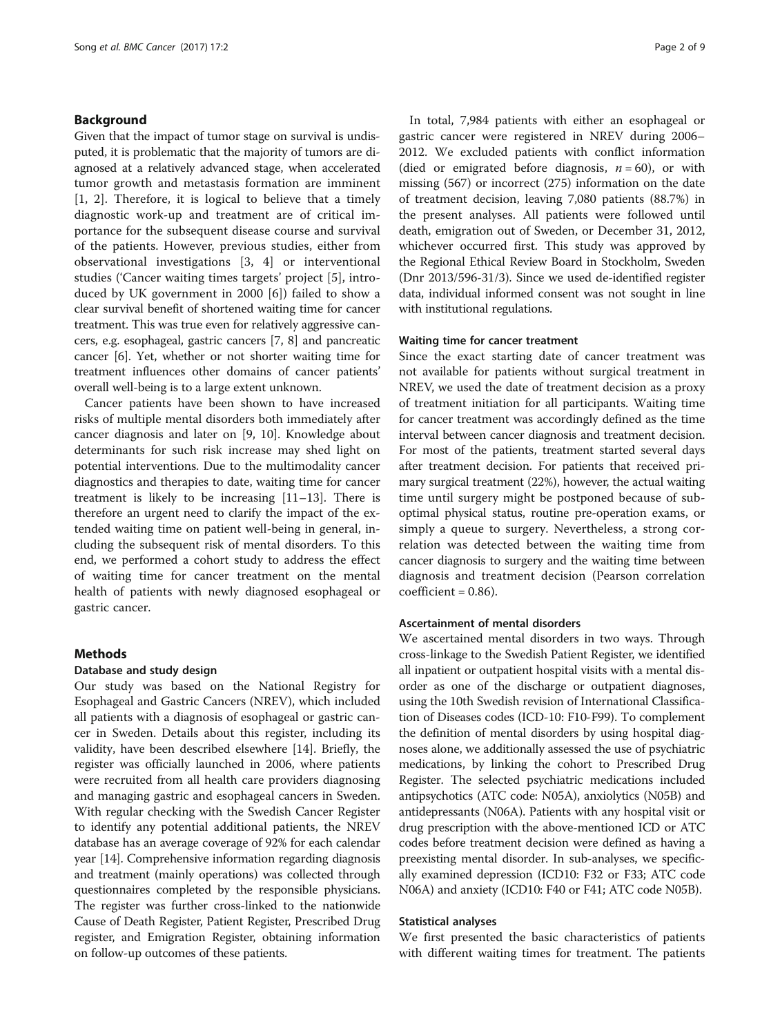# Background

Given that the impact of tumor stage on survival is undisputed, it is problematic that the majority of tumors are diagnosed at a relatively advanced stage, when accelerated tumor growth and metastasis formation are imminent [[1, 2\]](#page-7-0). Therefore, it is logical to believe that a timely diagnostic work-up and treatment are of critical importance for the subsequent disease course and survival of the patients. However, previous studies, either from observational investigations [[3, 4\]](#page-7-0) or interventional studies ('Cancer waiting times targets' project [\[5](#page-7-0)], introduced by UK government in 2000 [[6\]](#page-7-0)) failed to show a clear survival benefit of shortened waiting time for cancer treatment. This was true even for relatively aggressive cancers, e.g. esophageal, gastric cancers [[7](#page-7-0), [8\]](#page-7-0) and pancreatic cancer [\[6\]](#page-7-0). Yet, whether or not shorter waiting time for treatment influences other domains of cancer patients' overall well-being is to a large extent unknown.

Cancer patients have been shown to have increased risks of multiple mental disorders both immediately after cancer diagnosis and later on [[9, 10\]](#page-7-0). Knowledge about determinants for such risk increase may shed light on potential interventions. Due to the multimodality cancer diagnostics and therapies to date, waiting time for cancer treatment is likely to be increasing [\[11](#page-7-0)–[13](#page-7-0)]. There is therefore an urgent need to clarify the impact of the extended waiting time on patient well-being in general, including the subsequent risk of mental disorders. To this end, we performed a cohort study to address the effect of waiting time for cancer treatment on the mental health of patients with newly diagnosed esophageal or gastric cancer.

# Methods

# Database and study design

Our study was based on the National Registry for Esophageal and Gastric Cancers (NREV), which included all patients with a diagnosis of esophageal or gastric cancer in Sweden. Details about this register, including its validity, have been described elsewhere [[14](#page-7-0)]. Briefly, the register was officially launched in 2006, where patients were recruited from all health care providers diagnosing and managing gastric and esophageal cancers in Sweden. With regular checking with the Swedish Cancer Register to identify any potential additional patients, the NREV database has an average coverage of 92% for each calendar year [\[14\]](#page-7-0). Comprehensive information regarding diagnosis and treatment (mainly operations) was collected through questionnaires completed by the responsible physicians. The register was further cross-linked to the nationwide Cause of Death Register, Patient Register, Prescribed Drug register, and Emigration Register, obtaining information on follow-up outcomes of these patients.

In total, 7,984 patients with either an esophageal or gastric cancer were registered in NREV during 2006– 2012. We excluded patients with conflict information (died or emigrated before diagnosis,  $n = 60$ ), or with missing (567) or incorrect (275) information on the date of treatment decision, leaving 7,080 patients (88.7%) in the present analyses. All patients were followed until death, emigration out of Sweden, or December 31, 2012, whichever occurred first. This study was approved by the Regional Ethical Review Board in Stockholm, Sweden (Dnr 2013/596-31/3). Since we used de-identified register data, individual informed consent was not sought in line with institutional regulations.

# Waiting time for cancer treatment

Since the exact starting date of cancer treatment was not available for patients without surgical treatment in NREV, we used the date of treatment decision as a proxy of treatment initiation for all participants. Waiting time for cancer treatment was accordingly defined as the time interval between cancer diagnosis and treatment decision. For most of the patients, treatment started several days after treatment decision. For patients that received primary surgical treatment (22%), however, the actual waiting time until surgery might be postponed because of suboptimal physical status, routine pre-operation exams, or simply a queue to surgery. Nevertheless, a strong correlation was detected between the waiting time from cancer diagnosis to surgery and the waiting time between diagnosis and treatment decision (Pearson correlation  $coefficient = 0.86$ ).

# Ascertainment of mental disorders

We ascertained mental disorders in two ways. Through cross-linkage to the Swedish Patient Register, we identified all inpatient or outpatient hospital visits with a mental disorder as one of the discharge or outpatient diagnoses, using the 10th Swedish revision of International Classification of Diseases codes (ICD-10: F10-F99). To complement the definition of mental disorders by using hospital diagnoses alone, we additionally assessed the use of psychiatric medications, by linking the cohort to Prescribed Drug Register. The selected psychiatric medications included antipsychotics (ATC code: N05A), anxiolytics (N05B) and antidepressants (N06A). Patients with any hospital visit or drug prescription with the above-mentioned ICD or ATC codes before treatment decision were defined as having a preexisting mental disorder. In sub-analyses, we specifically examined depression (ICD10: F32 or F33; ATC code N06A) and anxiety (ICD10: F40 or F41; ATC code N05B).

# Statistical analyses

We first presented the basic characteristics of patients with different waiting times for treatment. The patients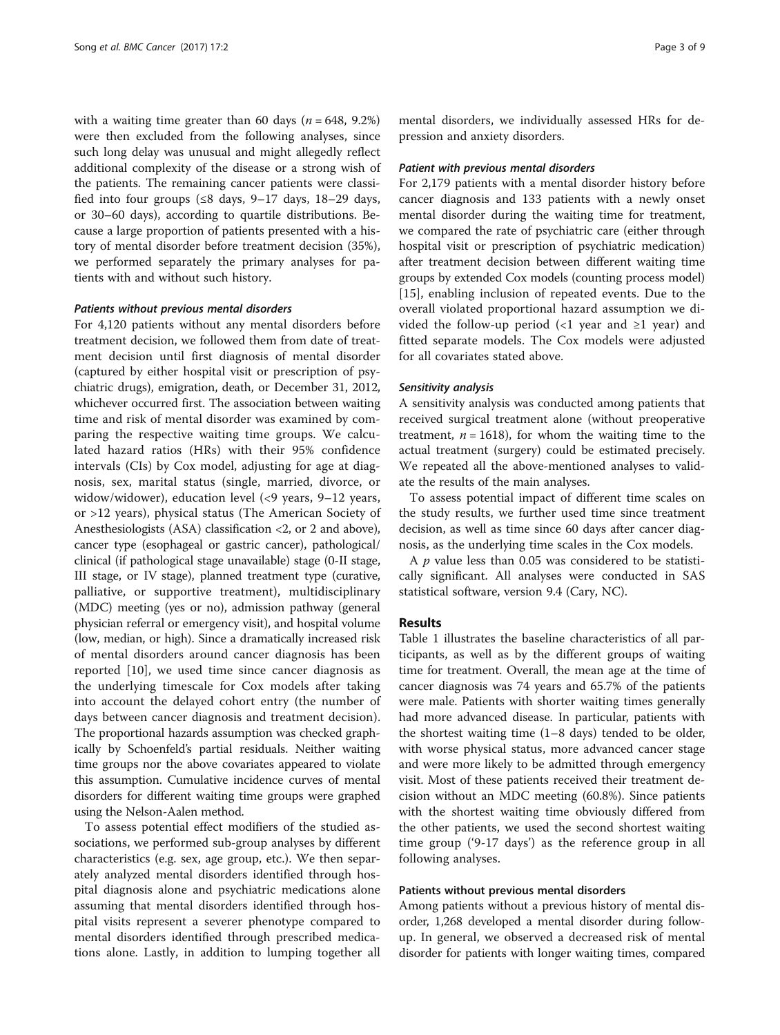with a waiting time greater than 60 days ( $n = 648, 9.2\%)$ were then excluded from the following analyses, since such long delay was unusual and might allegedly reflect additional complexity of the disease or a strong wish of the patients. The remaining cancer patients were classified into four groups  $(\leq 8 \text{ days}, 9-17 \text{ days}, 18-29 \text{ days})$ or 30–60 days), according to quartile distributions. Because a large proportion of patients presented with a history of mental disorder before treatment decision (35%), we performed separately the primary analyses for patients with and without such history.

### Patients without previous mental disorders

For 4,120 patients without any mental disorders before treatment decision, we followed them from date of treatment decision until first diagnosis of mental disorder (captured by either hospital visit or prescription of psychiatric drugs), emigration, death, or December 31, 2012, whichever occurred first. The association between waiting time and risk of mental disorder was examined by comparing the respective waiting time groups. We calculated hazard ratios (HRs) with their 95% confidence intervals (CIs) by Cox model, adjusting for age at diagnosis, sex, marital status (single, married, divorce, or widow/widower), education level (<9 years, 9–12 years, or >12 years), physical status (The American Society of Anesthesiologists (ASA) classification <2, or 2 and above), cancer type (esophageal or gastric cancer), pathological/ clinical (if pathological stage unavailable) stage (0-II stage, III stage, or IV stage), planned treatment type (curative, palliative, or supportive treatment), multidisciplinary (MDC) meeting (yes or no), admission pathway (general physician referral or emergency visit), and hospital volume (low, median, or high). Since a dramatically increased risk of mental disorders around cancer diagnosis has been reported [[10\]](#page-7-0), we used time since cancer diagnosis as the underlying timescale for Cox models after taking into account the delayed cohort entry (the number of days between cancer diagnosis and treatment decision). The proportional hazards assumption was checked graphically by Schoenfeld's partial residuals. Neither waiting time groups nor the above covariates appeared to violate this assumption. Cumulative incidence curves of mental disorders for different waiting time groups were graphed using the Nelson-Aalen method.

To assess potential effect modifiers of the studied associations, we performed sub-group analyses by different characteristics (e.g. sex, age group, etc.). We then separately analyzed mental disorders identified through hospital diagnosis alone and psychiatric medications alone assuming that mental disorders identified through hospital visits represent a severer phenotype compared to mental disorders identified through prescribed medications alone. Lastly, in addition to lumping together all

mental disorders, we individually assessed HRs for depression and anxiety disorders.

#### Patient with previous mental disorders

For 2,179 patients with a mental disorder history before cancer diagnosis and 133 patients with a newly onset mental disorder during the waiting time for treatment, we compared the rate of psychiatric care (either through hospital visit or prescription of psychiatric medication) after treatment decision between different waiting time groups by extended Cox models (counting process model) [[15\]](#page-7-0), enabling inclusion of repeated events. Due to the overall violated proportional hazard assumption we divided the follow-up period  $\langle$  <1 year and ≥1 year) and fitted separate models. The Cox models were adjusted for all covariates stated above.

# Sensitivity analysis

A sensitivity analysis was conducted among patients that received surgical treatment alone (without preoperative treatment,  $n = 1618$ ), for whom the waiting time to the actual treatment (surgery) could be estimated precisely. We repeated all the above-mentioned analyses to validate the results of the main analyses.

To assess potential impact of different time scales on the study results, we further used time since treatment decision, as well as time since 60 days after cancer diagnosis, as the underlying time scales in the Cox models.

A  $p$  value less than 0.05 was considered to be statistically significant. All analyses were conducted in SAS statistical software, version 9.4 (Cary, NC).

# Results

Table [1](#page-3-0) illustrates the baseline characteristics of all participants, as well as by the different groups of waiting time for treatment. Overall, the mean age at the time of cancer diagnosis was 74 years and 65.7% of the patients were male. Patients with shorter waiting times generally had more advanced disease. In particular, patients with the shortest waiting time (1–8 days) tended to be older, with worse physical status, more advanced cancer stage and were more likely to be admitted through emergency visit. Most of these patients received their treatment decision without an MDC meeting (60.8%). Since patients with the shortest waiting time obviously differed from the other patients, we used the second shortest waiting time group ('9-17 days') as the reference group in all following analyses.

# Patients without previous mental disorders

Among patients without a previous history of mental disorder, 1,268 developed a mental disorder during followup. In general, we observed a decreased risk of mental disorder for patients with longer waiting times, compared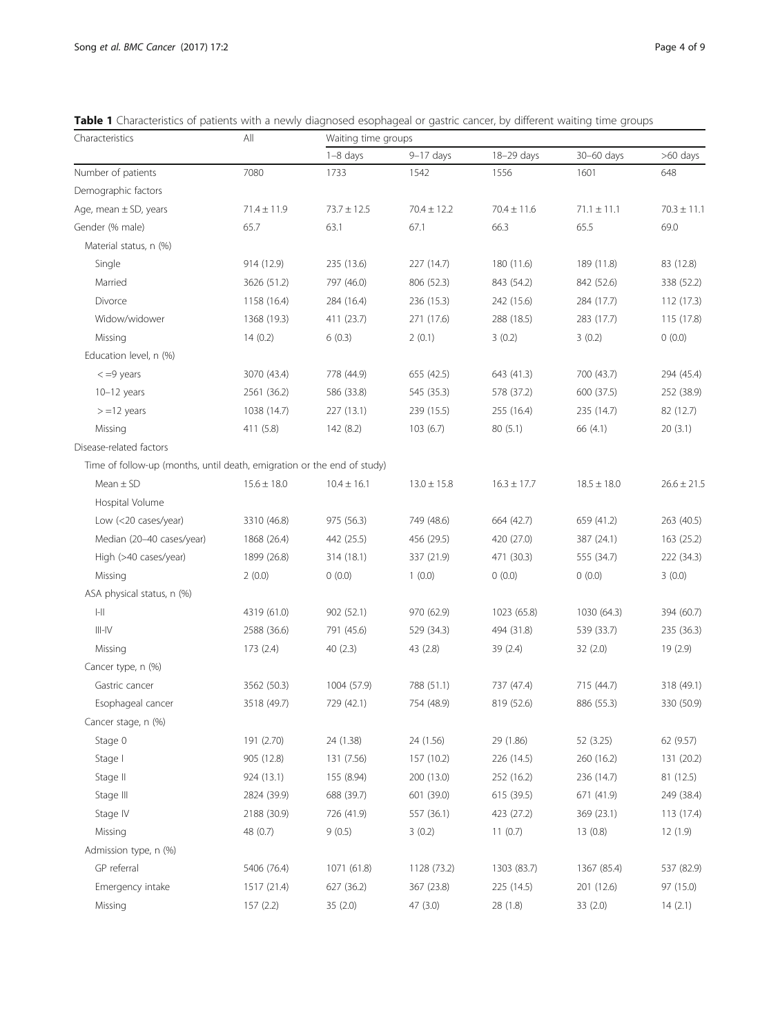<span id="page-3-0"></span>Table 1 Characteristics of patients with a newly diagnosed esophageal or gastric cancer, by different waiting time groups

| Characteristics                                                         | All             | Waiting time groups |                 |                 |                 |                 |  |
|-------------------------------------------------------------------------|-----------------|---------------------|-----------------|-----------------|-----------------|-----------------|--|
|                                                                         |                 | 1-8 days            | $9-17$ days     | 18-29 days      | 30-60 days      | $>60$ days      |  |
| Number of patients                                                      | 7080            | 1733                | 1542            | 1556            | 1601            | 648             |  |
| Demographic factors                                                     |                 |                     |                 |                 |                 |                 |  |
| Age, mean $\pm$ SD, years                                               | $71.4 \pm 11.9$ | $73.7 \pm 12.5$     | $70.4 \pm 12.2$ | $70.4 \pm 11.6$ | $71.1 \pm 11.1$ | $70.3 \pm 11.1$ |  |
| Gender (% male)                                                         | 65.7            | 63.1                | 67.1            | 66.3            | 65.5            | 69.0            |  |
| Material status, n (%)                                                  |                 |                     |                 |                 |                 |                 |  |
| Single                                                                  | 914 (12.9)      | 235 (13.6)          | 227 (14.7)      | 180 (11.6)      | 189 (11.8)      | 83 (12.8)       |  |
| Married                                                                 | 3626 (51.2)     | 797 (46.0)          | 806 (52.3)      | 843 (54.2)      | 842 (52.6)      | 338 (52.2)      |  |
| Divorce                                                                 | 1158 (16.4)     | 284 (16.4)          | 236 (15.3)      | 242 (15.6)      | 284 (17.7)      | 112 (17.3)      |  |
| Widow/widower                                                           | 1368 (19.3)     | 411 (23.7)          | 271 (17.6)      | 288 (18.5)      | 283 (17.7)      | 115 (17.8)      |  |
| Missing                                                                 | 14(0.2)         | 6(0.3)              | 2(0.1)          | 3(0.2)          | 3(0.2)          | 0(0.0)          |  |
| Education level, n (%)                                                  |                 |                     |                 |                 |                 |                 |  |
| $< = 9$ years                                                           | 3070 (43.4)     | 778 (44.9)          | 655 (42.5)      | 643 (41.3)      | 700 (43.7)      | 294 (45.4)      |  |
| $10-12$ years                                                           | 2561 (36.2)     | 586 (33.8)          | 545 (35.3)      | 578 (37.2)      | 600 (37.5)      | 252 (38.9)      |  |
| $> = 12$ years                                                          | 1038 (14.7)     | 227 (13.1)          | 239 (15.5)      | 255 (16.4)      | 235 (14.7)      | 82 (12.7)       |  |
| Missing                                                                 | 411 (5.8)       | 142 (8.2)           | 103(6.7)        | 80(5.1)         | 66 (4.1)        | 20(3.1)         |  |
| Disease-related factors                                                 |                 |                     |                 |                 |                 |                 |  |
| Time of follow-up (months, until death, emigration or the end of study) |                 |                     |                 |                 |                 |                 |  |
| $Mean \pm SD$                                                           | $15.6 \pm 18.0$ | $10.4 \pm 16.1$     | $13.0 \pm 15.8$ | $16.3 \pm 17.7$ | $18.5 \pm 18.0$ | $26.6 \pm 21.5$ |  |
| Hospital Volume                                                         |                 |                     |                 |                 |                 |                 |  |
| Low (<20 cases/year)                                                    | 3310 (46.8)     | 975 (56.3)          | 749 (48.6)      | 664 (42.7)      | 659 (41.2)      | 263 (40.5)      |  |
| Median (20-40 cases/year)                                               | 1868 (26.4)     | 442 (25.5)          | 456 (29.5)      | 420 (27.0)      | 387 (24.1)      | 163(25.2)       |  |
| High (>40 cases/year)                                                   | 1899 (26.8)     | 314 (18.1)          | 337 (21.9)      | 471 (30.3)      | 555 (34.7)      | 222 (34.3)      |  |
| Missing                                                                 | 2(0.0)          | 0(0.0)              | 1(0.0)          | 0(0.0)          | 0(0.0)          | 3(0.0)          |  |
| ASA physical status, n (%)                                              |                 |                     |                 |                 |                 |                 |  |
| $\left\  - \right\ $                                                    | 4319 (61.0)     | 902 (52.1)          | 970 (62.9)      | 1023 (65.8)     | 1030 (64.3)     | 394 (60.7)      |  |
| $III-N$                                                                 | 2588 (36.6)     | 791 (45.6)          | 529 (34.3)      | 494 (31.8)      | 539 (33.7)      | 235 (36.3)      |  |
| Missing                                                                 | 173(2.4)        | 40(2.3)             | 43 (2.8)        | 39(2.4)         | 32(2.0)         | 19(2.9)         |  |
| Cancer type, n (%)                                                      |                 |                     |                 |                 |                 |                 |  |
| Gastric cancer                                                          | 3562 (50.3)     | 1004 (57.9)         | 788 (51.1)      | 737 (47.4)      | 715 (44.7)      | 318 (49.1)      |  |
| Esophageal cancer                                                       | 3518 (49.7)     | 729 (42.1)          | 754 (48.9)      | 819 (52.6)      | 886 (55.3)      | 330 (50.9)      |  |
| Cancer stage, n (%)                                                     |                 |                     |                 |                 |                 |                 |  |
| Stage 0                                                                 | 191 (2.70)      | 24 (1.38)           | 24 (1.56)       | 29 (1.86)       | 52 (3.25)       | 62 (9.57)       |  |
| Stage I                                                                 | 905 (12.8)      | 131 (7.56)          | 157 (10.2)      | 226 (14.5)      | 260 (16.2)      | 131 (20.2)      |  |
| Stage II                                                                | 924 (13.1)      | 155 (8.94)          | 200 (13.0)      | 252 (16.2)      | 236 (14.7)      | 81 (12.5)       |  |
| Stage III                                                               | 2824 (39.9)     | 688 (39.7)          | 601 (39.0)      | 615 (39.5)      | 671 (41.9)      | 249 (38.4)      |  |
| Stage IV                                                                | 2188 (30.9)     | 726 (41.9)          | 557 (36.1)      | 423 (27.2)      | 369 (23.1)      | 113 (17.4)      |  |
| Missing                                                                 | 48 (0.7)        | 9(0.5)              | 3(0.2)          | 11(0.7)         | 13(0.8)         | 12(1.9)         |  |
| Admission type, n (%)                                                   |                 |                     |                 |                 |                 |                 |  |
| GP referral                                                             | 5406 (76.4)     | 1071 (61.8)         | 1128 (73.2)     | 1303 (83.7)     | 1367 (85.4)     | 537 (82.9)      |  |
| Emergency intake                                                        | 1517 (21.4)     | 627 (36.2)          | 367 (23.8)      | 225 (14.5)      | 201 (12.6)      | 97 (15.0)       |  |
| Missing                                                                 | 157 (2.2)       | 35 (2.0)            | 47(3.0)         | 28 (1.8)        | 33 (2.0)        | 14(2.1)         |  |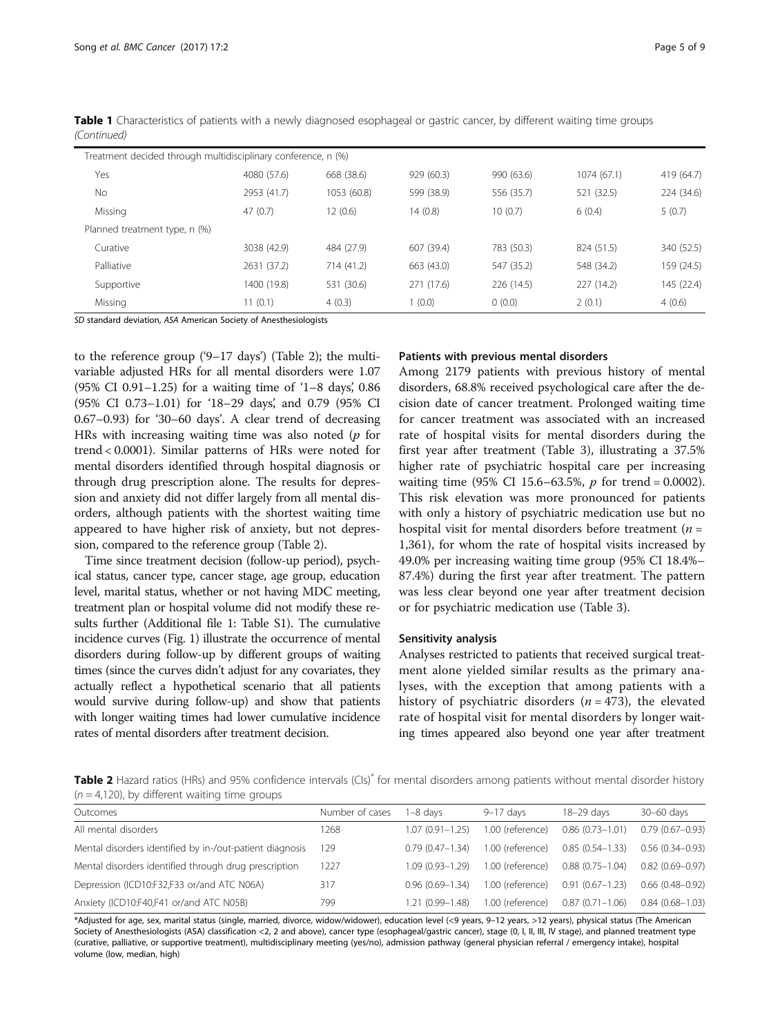| Treatment decided through multidisciplinary conference, n (%) |             |             |            |            |             |            |  |
|---------------------------------------------------------------|-------------|-------------|------------|------------|-------------|------------|--|
| Yes                                                           | 4080 (57.6) | 668 (38.6)  | 929 (60.3) | 990 (63.6) | 1074 (67.1) | 419 (64.7) |  |
| <b>No</b>                                                     | 2953 (41.7) | 1053 (60.8) | 599 (38.9) | 556 (35.7) | 521 (32.5)  | 224 (34.6) |  |
| Missing                                                       | 47(0.7)     | 12(0.6)     | 14(0.8)    | 10(0.7)    | 6(0.4)      | 5(0.7)     |  |
| Planned treatment type, n (%)                                 |             |             |            |            |             |            |  |
| Curative                                                      | 3038 (42.9) | 484 (27.9)  | 607 (39.4) | 783 (50.3) | 824 (51.5)  | 340 (52.5) |  |
| Palliative                                                    | 2631 (37.2) | 714 (41.2)  | 663 (43.0) | 547 (35.2) | 548 (34.2)  | 159 (24.5) |  |
| Supportive                                                    | 1400 (19.8) | 531 (30.6)  | 271 (17.6) | 226 (14.5) | 227(14.2)   | 145 (22.4) |  |
| Missing                                                       | 11(0.1)     | 4(0.3)      | 1(0.0)     | 0(0.0)     | 2(0.1)      | 4(0.6)     |  |

Table 1 Characteristics of patients with a newly diagnosed esophageal or gastric cancer, by different waiting time groups (Continued)

SD standard deviation, ASA American Society of Anesthesiologists

to the reference group ('9–17 days') (Table 2); the multivariable adjusted HRs for all mental disorders were 1.07 (95% CI 0.91–1.25) for a waiting time of '1–8 days', 0.86 (95% CI 0.73–1.01) for '18–29 days', and 0.79 (95% CI 0.67–0.93) for '30–60 days'. A clear trend of decreasing HRs with increasing waiting time was also noted  $(p$  for trend < 0.0001). Similar patterns of HRs were noted for mental disorders identified through hospital diagnosis or through drug prescription alone. The results for depression and anxiety did not differ largely from all mental disorders, although patients with the shortest waiting time appeared to have higher risk of anxiety, but not depression, compared to the reference group (Table 2).

Time since treatment decision (follow-up period), psychical status, cancer type, cancer stage, age group, education level, marital status, whether or not having MDC meeting, treatment plan or hospital volume did not modify these results further (Additional file [1](#page-7-0): Table S1). The cumulative incidence curves (Fig. [1](#page-5-0)) illustrate the occurrence of mental disorders during follow-up by different groups of waiting times (since the curves didn't adjust for any covariates, they actually reflect a hypothetical scenario that all patients would survive during follow-up) and show that patients with longer waiting times had lower cumulative incidence rates of mental disorders after treatment decision.

# Patients with previous mental disorders

Among 2179 patients with previous history of mental disorders, 68.8% received psychological care after the decision date of cancer treatment. Prolonged waiting time for cancer treatment was associated with an increased rate of hospital visits for mental disorders during the first year after treatment (Table [3](#page-5-0)), illustrating a 37.5% higher rate of psychiatric hospital care per increasing waiting time (95% CI 15.6–63.5%,  $p$  for trend = 0.0002). This risk elevation was more pronounced for patients with only a history of psychiatric medication use but no hospital visit for mental disorders before treatment ( $n =$ 1,361), for whom the rate of hospital visits increased by 49.0% per increasing waiting time group (95% CI 18.4%– 87.4%) during the first year after treatment. The pattern was less clear beyond one year after treatment decision or for psychiatric medication use (Table [3\)](#page-5-0).

# Sensitivity analysis

Analyses restricted to patients that received surgical treatment alone yielded similar results as the primary analyses, with the exception that among patients with a history of psychiatric disorders  $(n = 473)$ , the elevated rate of hospital visit for mental disorders by longer waiting times appeared also beyond one year after treatment

Table 2 Hazard ratios (HRs) and 95% confidence intervals (CIs)<sup>\*</sup> for mental disorders among patients without mental disorder history  $(n = 4,120)$ , by different waiting time groups

| Outcomes                                                 | Number of cases | $1-8$ davs          | $9-17$ davs      | 18-29 days          | $30-60$ days        |
|----------------------------------------------------------|-----------------|---------------------|------------------|---------------------|---------------------|
| All mental disorders                                     | 1268            | $1.07(0.91 - 1.25)$ | 1.00 (reference) | $0.86(0.73 - 1.01)$ | $0.79(0.67 - 0.93)$ |
| Mental disorders identified by in-/out-patient diagnosis | 129             | $0.79(0.47 - 1.34)$ | 1.00 (reference) | $0.85(0.54 - 1.33)$ | $0.56(0.34 - 0.93)$ |
| Mental disorders identified through drug prescription    | 1227            | $1.09(0.93 - 1.29)$ | 1.00 (reference) | $0.88(0.75 - 1.04)$ | $0.82(0.69 - 0.97)$ |
| Depression (ICD10:F32,F33 or/and ATC N06A)               | 317             | $0.96(0.69 - 1.34)$ | 1.00 (reference) | $0.91(0.67 - 1.23)$ | $0.66(0.48 - 0.92)$ |
| Anxiety (ICD10:F40,F41 or/and ATC N05B)                  | 799             | $1.21(0.99 - 1.48)$ | 1.00 (reference) | $0.87(0.71 - 1.06)$ | $0.84(0.68 - 1.03)$ |

\*Adjusted for age, sex, marital status (single, married, divorce, widow/widower), education level (<9 years, 9–12 years, >12 years), physical status (The American Society of Anesthesiologists (ASA) classification <2, 2 and above), cancer type (esophageal/gastric cancer), stage (0, I, II, III, IV stage), and planned treatment type (curative, palliative, or supportive treatment), multidisciplinary meeting (yes/no), admission pathway (general physician referral / emergency intake), hospital volume (low, median, high)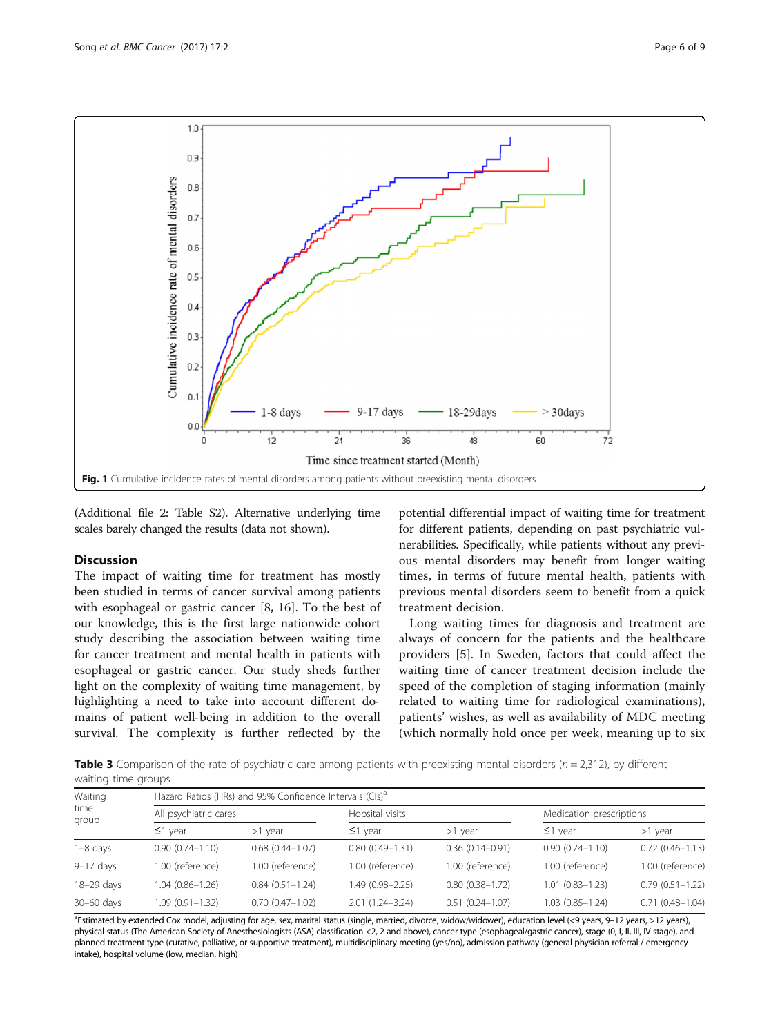<span id="page-5-0"></span>

(Additional file [2:](#page-7-0) Table S2). Alternative underlying time scales barely changed the results (data not shown).

# Discussion

The impact of waiting time for treatment has mostly been studied in terms of cancer survival among patients with esophageal or gastric cancer [[8, 16](#page-7-0)]. To the best of our knowledge, this is the first large nationwide cohort study describing the association between waiting time for cancer treatment and mental health in patients with esophageal or gastric cancer. Our study sheds further light on the complexity of waiting time management, by highlighting a need to take into account different domains of patient well-being in addition to the overall survival. The complexity is further reflected by the

potential differential impact of waiting time for treatment for different patients, depending on past psychiatric vulnerabilities. Specifically, while patients without any previous mental disorders may benefit from longer waiting times, in terms of future mental health, patients with previous mental disorders seem to benefit from a quick treatment decision.

Long waiting times for diagnosis and treatment are always of concern for the patients and the healthcare providers [\[5](#page-7-0)]. In Sweden, factors that could affect the waiting time of cancer treatment decision include the speed of the completion of staging information (mainly related to waiting time for radiological examinations), patients' wishes, as well as availability of MDC meeting (which normally hold once per week, meaning up to six

**Table 3** Comparison of the rate of psychiatric care among patients with preexisting mental disorders ( $n = 2,312$ ), by different waiting time groups

| Waiting<br>time<br>group | Hazard Ratios (HRs) and 95% Confidence Intervals (CIs) <sup>a</sup> |                     |                     |                     |                          |                     |  |  |  |
|--------------------------|---------------------------------------------------------------------|---------------------|---------------------|---------------------|--------------------------|---------------------|--|--|--|
|                          | All psychiatric cares                                               |                     | Hopsital visits     |                     | Medication prescriptions |                     |  |  |  |
|                          | $\leq$ 1 year                                                       | >1 year             | $\leq$ 1 year       | $>1$ year           | $\leq$ 1 year            | >1 year             |  |  |  |
| $1-8$ days               | $0.90(0.74 - 1.10)$                                                 | $0.68(0.44 - 1.07)$ | $0.80(0.49 - 1.31)$ | $0.36(0.14 - 0.91)$ | $0.90(0.74 - 1.10)$      | $0.72(0.46 - 1.13)$ |  |  |  |
| $9-17$ days              | 1.00 (reference)                                                    | 1.00 (reference)    | 1.00 (reference)    | 1.00 (reference)    | 1.00 (reference)         | 1.00 (reference)    |  |  |  |
| 18-29 days               | $1.04(0.86 - 1.26)$                                                 | $0.84(0.51 - 1.24)$ | 1.49 (0.98-2.25)    | $0.80(0.38 - 1.72)$ | $1.01(0.83 - 1.23)$      | $0.79(0.51 - 1.22)$ |  |  |  |
| 30-60 days               | $1.09(0.91 - 1.32)$                                                 | $0.70(0.47 - 1.02)$ | $2.01(1.24 - 3.24)$ | $0.51(0.24 - 1.07)$ | $1.03(0.85 - 1.24)$      | $0.71(0.48 - 1.04)$ |  |  |  |

and Estimated by extended Cox model, adjusting for age, sex, marital status (single, married, divorce, widow/widower), education level (<9 years, 9-12 years, >12 years), <a> physical status (The American Society of Anesthesiologists (ASA) classification <2, 2 and above), cancer type (esophageal/gastric cancer), stage (0, I, II, III, IV stage), and planned treatment type (curative, palliative, or supportive treatment), multidisciplinary meeting (yes/no), admission pathway (general physician referral / emergency intake), hospital volume (low, median, high)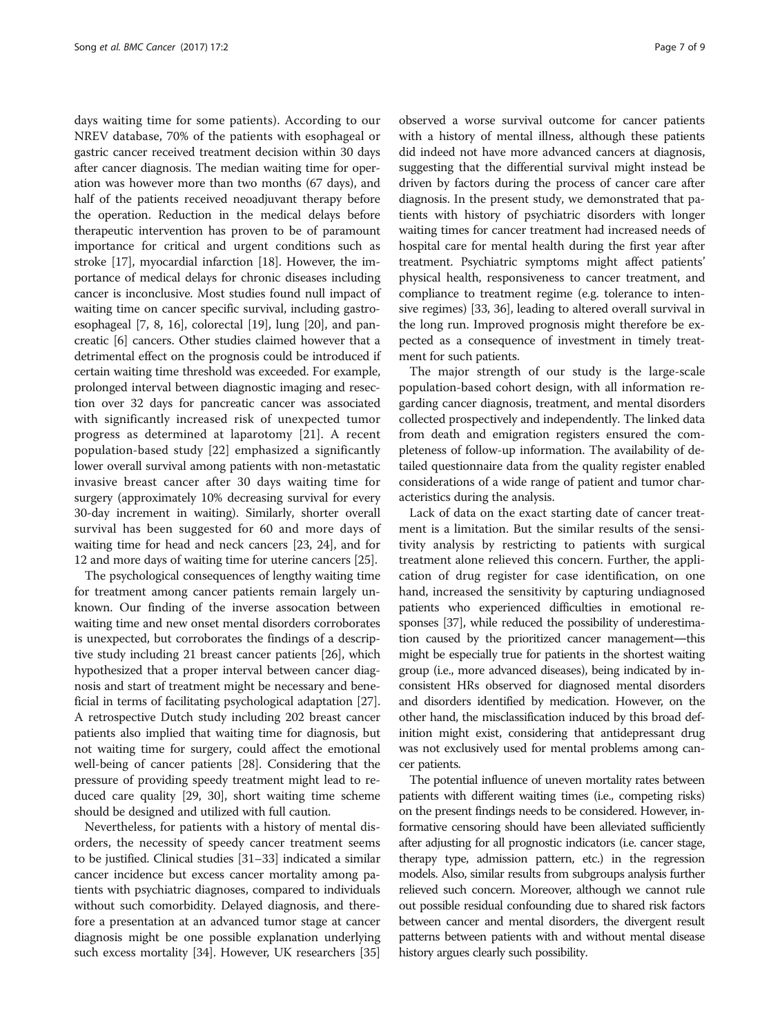days waiting time for some patients). According to our NREV database, 70% of the patients with esophageal or gastric cancer received treatment decision within 30 days after cancer diagnosis. The median waiting time for operation was however more than two months (67 days), and half of the patients received neoadjuvant therapy before the operation. Reduction in the medical delays before therapeutic intervention has proven to be of paramount importance for critical and urgent conditions such as stroke [\[17\]](#page-7-0), myocardial infarction [\[18\]](#page-7-0). However, the importance of medical delays for chronic diseases including cancer is inconclusive. Most studies found null impact of waiting time on cancer specific survival, including gastroesophageal [[7, 8](#page-7-0), [16\]](#page-7-0), colorectal [\[19\]](#page-7-0), lung [\[20\]](#page-7-0), and pancreatic [[6\]](#page-7-0) cancers. Other studies claimed however that a detrimental effect on the prognosis could be introduced if certain waiting time threshold was exceeded. For example, prolonged interval between diagnostic imaging and resection over 32 days for pancreatic cancer was associated with significantly increased risk of unexpected tumor progress as determined at laparotomy [[21\]](#page-7-0). A recent population-based study [\[22](#page-8-0)] emphasized a significantly lower overall survival among patients with non-metastatic invasive breast cancer after 30 days waiting time for surgery (approximately 10% decreasing survival for every 30-day increment in waiting). Similarly, shorter overall survival has been suggested for 60 and more days of waiting time for head and neck cancers [[23](#page-8-0), [24\]](#page-8-0), and for 12 and more days of waiting time for uterine cancers [\[25](#page-8-0)].

The psychological consequences of lengthy waiting time for treatment among cancer patients remain largely unknown. Our finding of the inverse assocation between waiting time and new onset mental disorders corroborates is unexpected, but corroborates the findings of a descriptive study including 21 breast cancer patients [\[26\]](#page-8-0), which hypothesized that a proper interval between cancer diagnosis and start of treatment might be necessary and beneficial in terms of facilitating psychological adaptation [[27](#page-8-0)]. A retrospective Dutch study including 202 breast cancer patients also implied that waiting time for diagnosis, but not waiting time for surgery, could affect the emotional well-being of cancer patients [\[28\]](#page-8-0). Considering that the pressure of providing speedy treatment might lead to reduced care quality [\[29, 30](#page-8-0)], short waiting time scheme should be designed and utilized with full caution.

Nevertheless, for patients with a history of mental disorders, the necessity of speedy cancer treatment seems to be justified. Clinical studies [[31](#page-8-0)–[33\]](#page-8-0) indicated a similar cancer incidence but excess cancer mortality among patients with psychiatric diagnoses, compared to individuals without such comorbidity. Delayed diagnosis, and therefore a presentation at an advanced tumor stage at cancer diagnosis might be one possible explanation underlying such excess mortality [\[34\]](#page-8-0). However, UK researchers [[35](#page-8-0)]

observed a worse survival outcome for cancer patients with a history of mental illness, although these patients did indeed not have more advanced cancers at diagnosis, suggesting that the differential survival might instead be driven by factors during the process of cancer care after diagnosis. In the present study, we demonstrated that patients with history of psychiatric disorders with longer waiting times for cancer treatment had increased needs of hospital care for mental health during the first year after treatment. Psychiatric symptoms might affect patients' physical health, responsiveness to cancer treatment, and compliance to treatment regime (e.g. tolerance to intensive regimes) [[33](#page-8-0), [36\]](#page-8-0), leading to altered overall survival in the long run. Improved prognosis might therefore be expected as a consequence of investment in timely treatment for such patients.

The major strength of our study is the large-scale population-based cohort design, with all information regarding cancer diagnosis, treatment, and mental disorders collected prospectively and independently. The linked data from death and emigration registers ensured the completeness of follow-up information. The availability of detailed questionnaire data from the quality register enabled considerations of a wide range of patient and tumor characteristics during the analysis.

Lack of data on the exact starting date of cancer treatment is a limitation. But the similar results of the sensitivity analysis by restricting to patients with surgical treatment alone relieved this concern. Further, the application of drug register for case identification, on one hand, increased the sensitivity by capturing undiagnosed patients who experienced difficulties in emotional responses [\[37\]](#page-8-0), while reduced the possibility of underestimation caused by the prioritized cancer management—this might be especially true for patients in the shortest waiting group (i.e., more advanced diseases), being indicated by inconsistent HRs observed for diagnosed mental disorders and disorders identified by medication. However, on the other hand, the misclassification induced by this broad definition might exist, considering that antidepressant drug was not exclusively used for mental problems among cancer patients.

The potential influence of uneven mortality rates between patients with different waiting times (i.e., competing risks) on the present findings needs to be considered. However, informative censoring should have been alleviated sufficiently after adjusting for all prognostic indicators (i.e. cancer stage, therapy type, admission pattern, etc.) in the regression models. Also, similar results from subgroups analysis further relieved such concern. Moreover, although we cannot rule out possible residual confounding due to shared risk factors between cancer and mental disorders, the divergent result patterns between patients with and without mental disease history argues clearly such possibility.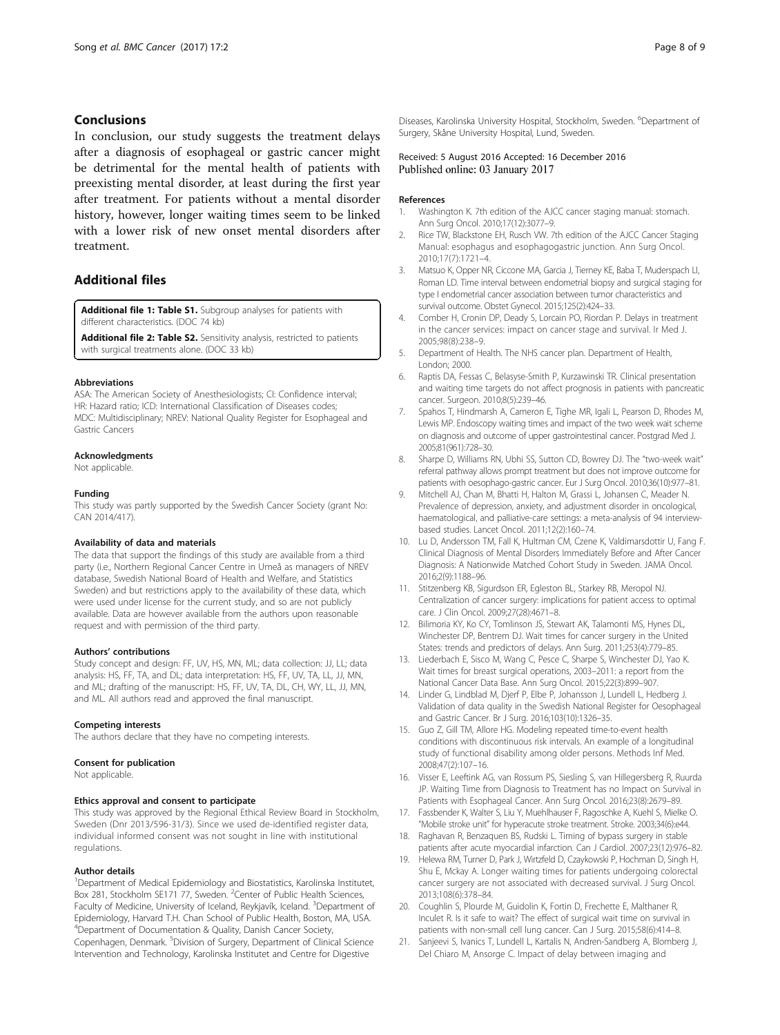# <span id="page-7-0"></span>Conclusions

In conclusion, our study suggests the treatment delays after a diagnosis of esophageal or gastric cancer might be detrimental for the mental health of patients with preexisting mental disorder, at least during the first year after treatment. For patients without a mental disorder history, however, longer waiting times seem to be linked with a lower risk of new onset mental disorders after treatment.

# Additional files

[Additional file 1: Table S1.](dx.doi.org/10.1186/s12885-016-3013-7) Subgroup analyses for patients with different characteristics. (DOC 74 kb)

[Additional file 2: Table S2.](dx.doi.org/10.1186/s12885-016-3013-7) Sensitivity analysis, restricted to patients with surgical treatments alone. (DOC 33 kb)

#### Abbreviations

ASA: The American Society of Anesthesiologists; CI: Confidence interval; HR: Hazard ratio; ICD: International Classification of Diseases codes; MDC: Multidisciplinary; NREV: National Quality Register for Esophageal and Gastric Cancers

### Acknowledgments

Not applicable.

#### Funding

This study was partly supported by the Swedish Cancer Society (grant No: CAN 2014/417).

#### Availability of data and materials

The data that support the findings of this study are available from a third party (i.e., Northern Regional Cancer Centre in Umeå as managers of NREV database, Swedish National Board of Health and Welfare, and Statistics Sweden) and but restrictions apply to the availability of these data, which were used under license for the current study, and so are not publicly available. Data are however available from the authors upon reasonable request and with permission of the third party.

#### Authors' contributions

Study concept and design: FF, UV, HS, MN, ML; data collection: JJ, LL; data analysis: HS, FF, TA, and DL; data interpretation: HS, FF, UV, TA, LL, JJ, MN, and ML; drafting of the manuscript: HS, FF, UV, TA, DL, CH, WY, LL, JJ, MN, and ML. All authors read and approved the final manuscript.

#### Competing interests

The authors declare that they have no competing interests.

#### Consent for publication

Not applicable.

## Ethics approval and consent to participate

This study was approved by the Regional Ethical Review Board in Stockholm, Sweden (Dnr 2013/596-31/3). Since we used de-identified register data, individual informed consent was not sought in line with institutional regulations.

#### Author details

<sup>1</sup>Department of Medical Epidemiology and Biostatistics, Karolinska Institutet, Box 281, Stockholm SE171 77, Sweden. <sup>2</sup>Center of Public Health Sciences, Faculty of Medicine, University of Iceland, Reykjavík, Iceland. <sup>3</sup>Department of Epidemiology, Harvard T.H. Chan School of Public Health, Boston, MA, USA. 4 Department of Documentation & Quality, Danish Cancer Society, Copenhagen, Denmark. <sup>5</sup>Division of Surgery, Department of Clinical Science Intervention and Technology, Karolinska Institutet and Centre for Digestive

Diseases, Karolinska University Hospital, Stockholm, Sweden. <sup>6</sup>Department of Surgery, Skåne University Hospital, Lund, Sweden.

# Received: 5 August 2016 Accepted: 16 December 2016 Published online: 03 January 2017

#### References

- 1. Washington K. 7th edition of the AJCC cancer staging manual: stomach. Ann Surg Oncol. 2010;17(12):3077–9.
- 2. Rice TW, Blackstone EH, Rusch VW. 7th edition of the AJCC Cancer Staging Manual: esophagus and esophagogastric junction. Ann Surg Oncol. 2010;17(7):1721–4.
- 3. Matsuo K, Opper NR, Ciccone MA, Garcia J, Tierney KE, Baba T, Muderspach LI, Roman LD. Time interval between endometrial biopsy and surgical staging for type I endometrial cancer association between tumor characteristics and survival outcome. Obstet Gynecol. 2015;125(2):424–33.
- 4. Comber H, Cronin DP, Deady S, Lorcain PO, Riordan P. Delays in treatment in the cancer services: impact on cancer stage and survival. Ir Med J. 2005;98(8):238–9.
- 5. Department of Health. The NHS cancer plan. Department of Health, London; 2000.
- 6. Raptis DA, Fessas C, Belasyse-Smith P, Kurzawinski TR. Clinical presentation and waiting time targets do not affect prognosis in patients with pancreatic cancer. Surgeon. 2010;8(5):239–46.
- 7. Spahos T, Hindmarsh A, Cameron E, Tighe MR, Igali L, Pearson D, Rhodes M, Lewis MP. Endoscopy waiting times and impact of the two week wait scheme on diagnosis and outcome of upper gastrointestinal cancer. Postgrad Med J. 2005;81(961):728–30.
- 8. Sharpe D, Williams RN, Ubhi SS, Sutton CD, Bowrey DJ. The "two-week wait" referral pathway allows prompt treatment but does not improve outcome for patients with oesophago-gastric cancer. Eur J Surg Oncol. 2010;36(10):977–81.
- 9. Mitchell AJ, Chan M, Bhatti H, Halton M, Grassi L, Johansen C, Meader N. Prevalence of depression, anxiety, and adjustment disorder in oncological, haematological, and palliative-care settings: a meta-analysis of 94 interviewbased studies. Lancet Oncol. 2011;12(2):160–74.
- 10. Lu D, Andersson TM, Fall K, Hultman CM, Czene K, Valdimarsdottir U, Fang F. Clinical Diagnosis of Mental Disorders Immediately Before and After Cancer Diagnosis: A Nationwide Matched Cohort Study in Sweden. JAMA Oncol. 2016;2(9):1188–96.
- 11. Stitzenberg KB, Sigurdson ER, Egleston BL, Starkey RB, Meropol NJ. Centralization of cancer surgery: implications for patient access to optimal care. J Clin Oncol. 2009;27(28):4671–8.
- 12. Bilimoria KY, Ko CY, Tomlinson JS, Stewart AK, Talamonti MS, Hynes DL, Winchester DP, Bentrem DJ. Wait times for cancer surgery in the United States: trends and predictors of delays. Ann Surg. 2011;253(4):779–85.
- 13. Liederbach E, Sisco M, Wang C, Pesce C, Sharpe S, Winchester DJ, Yao K. Wait times for breast surgical operations, 2003–2011: a report from the National Cancer Data Base. Ann Surg Oncol. 2015;22(3):899–907.
- 14. Linder G, Lindblad M, Djerf P, Elbe P, Johansson J, Lundell L, Hedberg J. Validation of data quality in the Swedish National Register for Oesophageal and Gastric Cancer. Br J Surg. 2016;103(10):1326–35.
- 15. Guo Z, Gill TM, Allore HG. Modeling repeated time-to-event health conditions with discontinuous risk intervals. An example of a longitudinal study of functional disability among older persons. Methods Inf Med. 2008;47(2):107–16.
- 16. Visser E, Leeftink AG, van Rossum PS, Siesling S, van Hillegersberg R, Ruurda JP. Waiting Time from Diagnosis to Treatment has no Impact on Survival in Patients with Esophageal Cancer. Ann Surg Oncol. 2016;23(8):2679–89.
- 17. Fassbender K, Walter S, Liu Y, Muehlhauser F, Ragoschke A, Kuehl S, Mielke O. "Mobile stroke unit" for hyperacute stroke treatment. Stroke. 2003;34(6):e44. 18. Raghavan R, Benzaquen BS, Rudski L. Timing of bypass surgery in stable
- patients after acute myocardial infarction. Can J Cardiol. 2007;23(12):976–82.
- 19. Helewa RM, Turner D, Park J, Wirtzfeld D, Czaykowski P, Hochman D, Singh H, Shu E, Mckay A. Longer waiting times for patients undergoing colorectal cancer surgery are not associated with decreased survival. J Surg Oncol. 2013;108(6):378–84.
- 20. Coughlin S, Plourde M, Guidolin K, Fortin D, Frechette E, Malthaner R, Inculet R. Is it safe to wait? The effect of surgical wait time on survival in patients with non-small cell lung cancer. Can J Surg. 2015;58(6):414–8.
- 21. Sanjeevi S, Ivanics T, Lundell L, Kartalis N, Andren-Sandberg A, Blomberg J, Del Chiaro M, Ansorge C. Impact of delay between imaging and